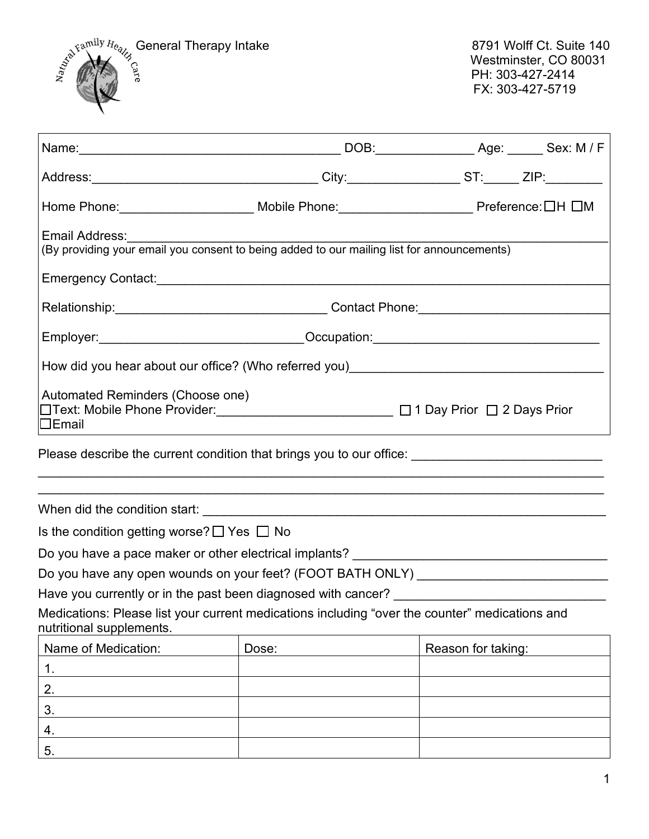

| Home Phone:_______________________ Mobile Phone:________________________ Preference:□H □M                                               |                                                                                                                                                                        |                    |
|-----------------------------------------------------------------------------------------------------------------------------------------|------------------------------------------------------------------------------------------------------------------------------------------------------------------------|--------------------|
| Email Address:<br>(By providing your email you consent to being added to our mailing list for announcements)                            |                                                                                                                                                                        |                    |
|                                                                                                                                         |                                                                                                                                                                        |                    |
|                                                                                                                                         |                                                                                                                                                                        |                    |
| Employer: ________________________________Occupation: __________________________                                                        |                                                                                                                                                                        |                    |
|                                                                                                                                         |                                                                                                                                                                        |                    |
| Automated Reminders (Choose one)<br>□Text: Mobile Phone Provider: ________________________ □ 1 Day Prior □ 2 Days Prior<br>$\Box$ Email | <u> 1980 - Johann Barn, amerikansk politiker (d. 1980)</u>                                                                                                             |                    |
| Please describe the current condition that brings you to our office: _______________________________                                    |                                                                                                                                                                        |                    |
|                                                                                                                                         | ,我们也不能在这里的人,我们也不能在这里的人,我们也不能在这里的人,我们也不能在这里的人,我们也不能在这里的人,我们也不能在这里的人,我们也不能在这里的人,我们也<br>,我们也不能在这里的人,我们也不能在这里的人,我们也不能在这里的人,我们也不能在这里的人,我们也不能在这里的人,我们也不能在这里的人,我们也不能在这里的人,我们也 |                    |
|                                                                                                                                         |                                                                                                                                                                        |                    |
| Is the condition getting worse? $\Box$ Yes $\Box$ No                                                                                    |                                                                                                                                                                        |                    |
| Do you have a pace maker or other electrical implants? __________________________                                                       |                                                                                                                                                                        |                    |
| Do you have any open wounds on your feet? (FOOT BATH ONLY) _____________________                                                        |                                                                                                                                                                        |                    |
|                                                                                                                                         |                                                                                                                                                                        |                    |
| Medications: Please list your current medications including "over the counter" medications and<br>nutritional supplements.              |                                                                                                                                                                        |                    |
| Name of Medication:                                                                                                                     | Dose:                                                                                                                                                                  | Reason for taking: |
| 1.                                                                                                                                      |                                                                                                                                                                        |                    |
| 2.                                                                                                                                      |                                                                                                                                                                        |                    |
| 3.                                                                                                                                      |                                                                                                                                                                        |                    |
| 4.                                                                                                                                      |                                                                                                                                                                        |                    |
| 5.                                                                                                                                      |                                                                                                                                                                        |                    |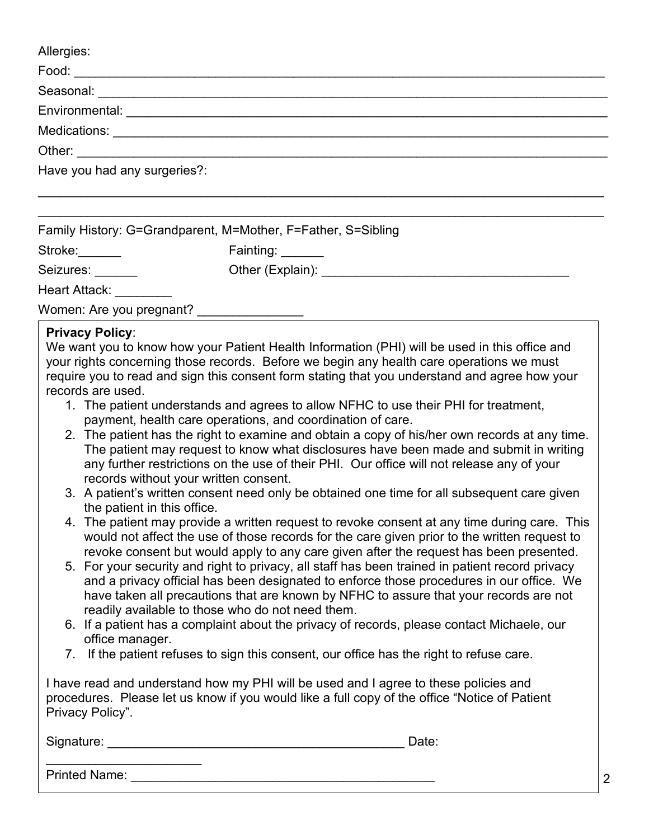| Allergies:                                                   |                  |
|--------------------------------------------------------------|------------------|
|                                                              |                  |
|                                                              |                  |
|                                                              |                  |
|                                                              |                  |
|                                                              |                  |
| Have you had any surgeries?:                                 |                  |
|                                                              |                  |
| Family History: G=Grandparent, M=Mother, F=Father, S=Sibling |                  |
| Stroke:                                                      | Fainting: ______ |
| Seizures:                                                    |                  |
| Heart Attack:                                                |                  |

Women: Are you pregnant?

#### **Privacy Policy**:

We want you to know how your Patient Health Information (PHI) will be used in this office and your rights concerning those records. Before we begin any health care operations we must require you to read and sign this consent form stating that you understand and agree how your records are used.

- 1. The patient understands and agrees to allow NFHC to use their PHI for treatment, payment, health care operations, and coordination of care.
- 2. The patient has the right to examine and obtain a copy of his/her own records at any time. The patient may request to know what disclosures have been made and submit in writing any further restrictions on the use of their PHI. Our office will not release any of your records without your written consent.
- 3. A patient's written consent need only be obtained one time for all subsequent care given the patient in this office.
- 4. The patient may provide a written request to revoke consent at any time during care. This would not affect the use of those records for the care given prior to the written request to revoke consent but would apply to any care given after the request has been presented.
- 5. For your security and right to privacy, all staff has been trained in patient record privacy and a privacy official has been designated to enforce those procedures in our office. We have taken all precautions that are known by NFHC to assure that your records are not readily available to those who do not need them.
- 6. If a patient has a complaint about the privacy of records, please contact Michaele, our office manager.
- 7. If the patient refuses to sign this consent, our office has the right to refuse care.

I have read and understand how my PHI will be used and I agree to these policies and procedures. Please let us know if you would like a full copy of the office "Notice of Patient Privacy Policy".

Signature: <u>Date:</u> 2002. The set of the set of the set of the set of the set of the set of the set of the set of the set of the set of the set of the set of the set of the set of the set of the set of the set of the set of

Printed Name:

\_\_\_\_\_\_\_\_\_\_\_\_\_\_\_\_\_\_\_\_\_\_